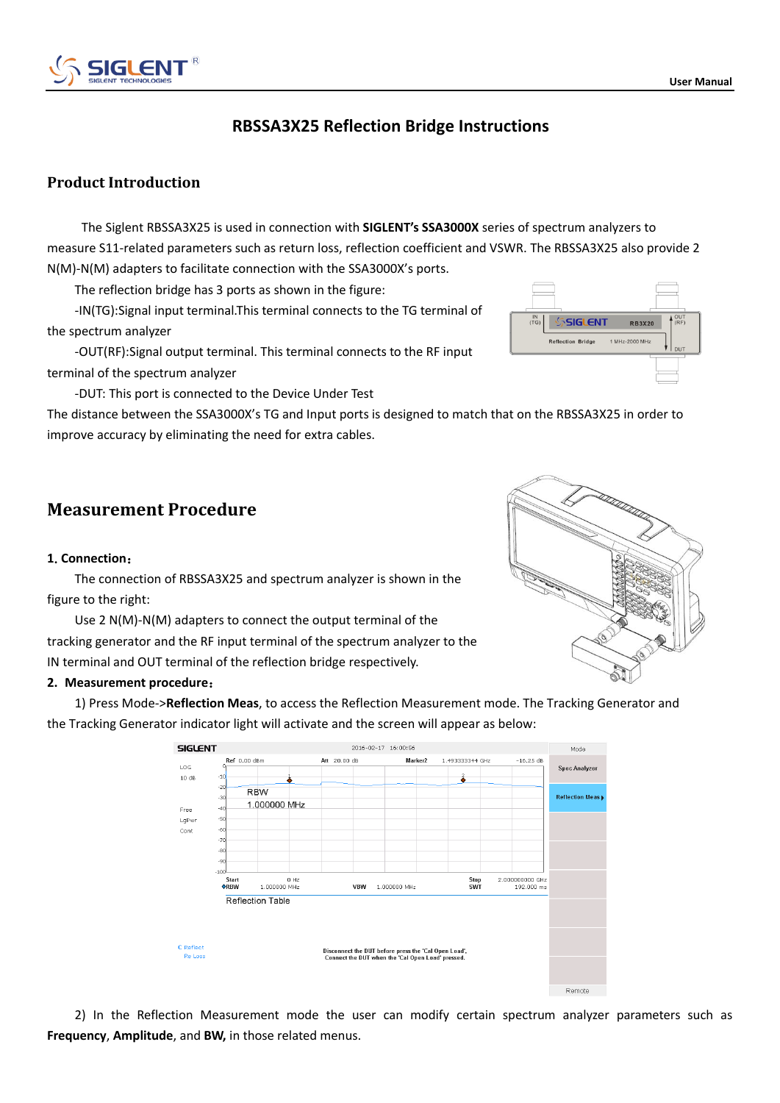# **RBSSA3X25 Reflection Bridge Instructions**

## **Product Introduction**

The Siglent RBSSA3X25 is used in connection with **SIGLENT's SSA3000X** series of spectrum analyzers to measure S11-related parameters such as return loss, reflection coefficient and VSWR. The RBSSA3X25 also provide 2 N(M)-N(M) adapters to facilitate connection with the SSA3000X's ports.

The reflection bridge has 3 ports as shown in the figure:

-IN(TG):Signal input terminal.This terminal connects to the TG terminal of the spectrum analyzer

-OUT(RF):Signal output terminal. This terminal connects to the RF input terminal of the spectrum analyzer

-DUT: This port is connected to the Device Under Test

The distance between the SSA3000X's TG and Input ports is designed to match that on the RBSSA3X25 in order to improve accuracy by eliminating the need for extra cables.

# **Measurement Procedure**

### **1**.**Connection**:

The connection of RBSSA3X25 and spectrum analyzer is shown in the figure to the right:

Use 2 N(M)-N(M) adapters to connect the output terminal of the tracking generator and the RF input terminal of the spectrum analyzer to the IN terminal and OUT terminal of the reflection bridge respectively.

### **2. Measurement procedure**:

1) Press Mode->**Reflection Meas**, to access the Reflection Measurement mode. The Tracking Generator and the Tracking Generator indicator light will activate and the screen will appear as below:



2) In the Reflection Measurement mode the user can modify certain spectrum analyzer parameters such as **Frequency**, **Amplitude**, and **BW,** in those related menus.